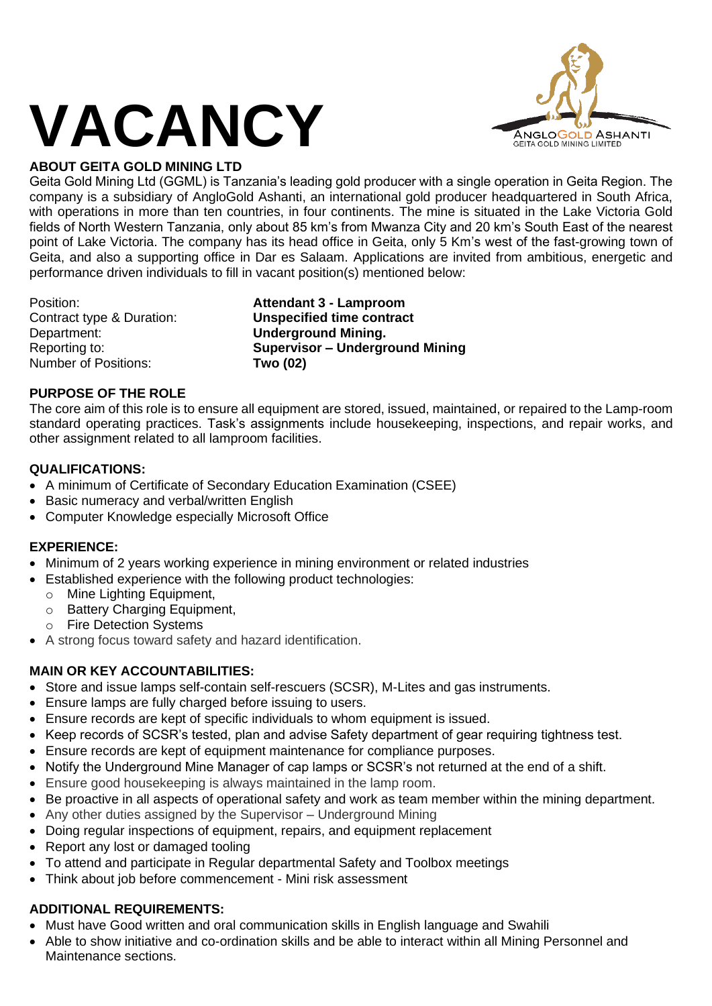

# **ABOUT GEITA GOLD MINING LTD**

Geita Gold Mining Ltd (GGML) is Tanzania's leading gold producer with a single operation in Geita Region. The company is a subsidiary of AngloGold Ashanti, an international gold producer headquartered in South Africa, with operations in more than ten countries, in four continents. The mine is situated in the Lake Victoria Gold fields of North Western Tanzania, only about 85 km's from Mwanza City and 20 km's South East of the nearest point of Lake Victoria. The company has its head office in Geita, only 5 Km's west of the fast-growing town of Geita, and also a supporting office in Dar es Salaam. Applications are invited from ambitious, energetic and performance driven individuals to fill in vacant position(s) mentioned below:

Department: **Underground Mining.** Number of Positions: **Two (02)**

Position: **Attendant 3 - Lamproom** Contract type & Duration: **Unspecified time contract** Reporting to: **Supervisor – Underground Mining**

## **PURPOSE OF THE ROLE**

The core aim of this role is to ensure all equipment are stored, issued, maintained, or repaired to the Lamp-room standard operating practices. Task's assignments include housekeeping, inspections, and repair works, and other assignment related to all lamproom facilities.

## **QUALIFICATIONS:**

- A minimum of Certificate of Secondary Education Examination (CSEE)
- Basic numeracy and verbal/written English
- Computer Knowledge especially Microsoft Office

#### **EXPERIENCE:**

- Minimum of 2 years working experience in mining environment or related industries
- Established experience with the following product technologies:
	- o Mine Lighting Equipment,
	- $\circ$  Battery Charging Equipment.
	- o Fire Detection Systems
- A strong focus toward safety and hazard identification.

## **MAIN OR KEY ACCOUNTABILITIES:**

- Store and issue lamps self-contain self-rescuers (SCSR), M-Lites and gas instruments.
- Ensure lamps are fully charged before issuing to users.
- Ensure records are kept of specific individuals to whom equipment is issued.
- Keep records of SCSR's tested, plan and advise Safety department of gear requiring tightness test.
- Ensure records are kept of equipment maintenance for compliance purposes.
- Notify the Underground Mine Manager of cap lamps or SCSR's not returned at the end of a shift.
- Ensure good housekeeping is always maintained in the lamp room.
- Be proactive in all aspects of operational safety and work as team member within the mining department.
- Any other duties assigned by the Supervisor Underground Mining
- Doing regular inspections of equipment, repairs, and equipment replacement
- Report any lost or damaged tooling
- To attend and participate in Regular departmental Safety and Toolbox meetings
- Think about job before commencement Mini risk assessment

# **ADDITIONAL REQUIREMENTS:**

- Must have Good written and oral communication skills in English language and Swahili
- Able to show initiative and co-ordination skills and be able to interact within all Mining Personnel and Maintenance sections.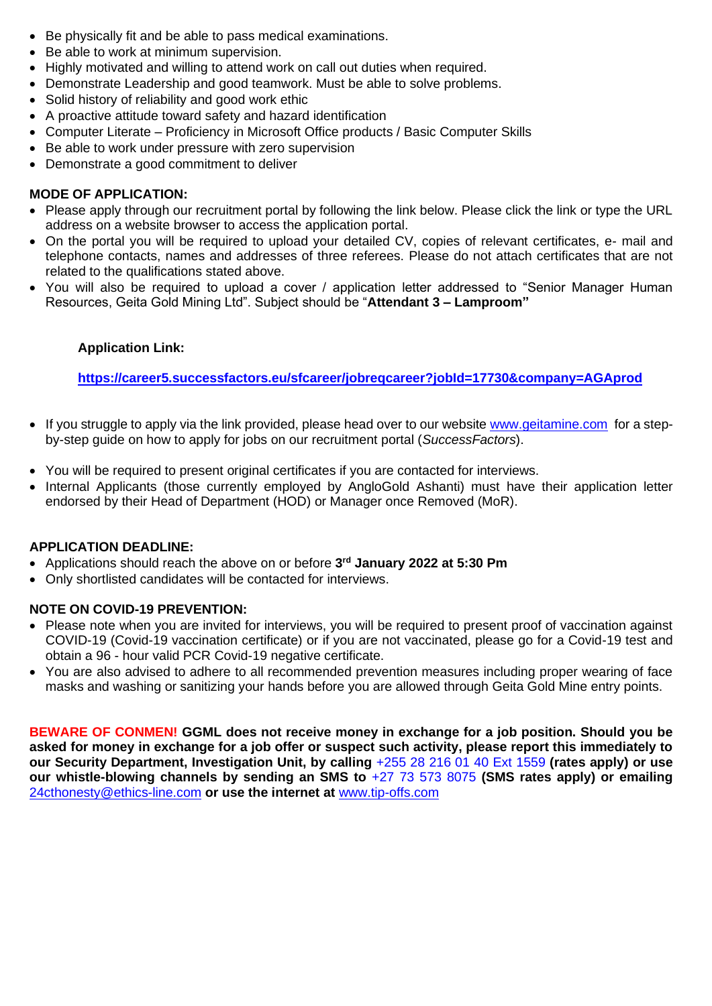- Be physically fit and be able to pass medical examinations.
- Be able to work at minimum supervision.
- Highly motivated and willing to attend work on call out duties when required.
- Demonstrate Leadership and good teamwork. Must be able to solve problems.
- Solid history of reliability and good work ethic
- A proactive attitude toward safety and hazard identification
- Computer Literate Proficiency in Microsoft Office products / Basic Computer Skills
- Be able to work under pressure with zero supervision
- Demonstrate a good commitment to deliver

#### **MODE OF APPLICATION:**

- Please apply through our recruitment portal by following the link below. Please click the link or type the URL address on a website browser to access the application portal.
- On the portal you will be required to upload your detailed CV, copies of relevant certificates, e- mail and telephone contacts, names and addresses of three referees. Please do not attach certificates that are not related to the qualifications stated above.
- You will also be required to upload a cover / application letter addressed to "Senior Manager Human Resources, Geita Gold Mining Ltd". Subject should be "**Attendant 3 – Lamproom"**

#### **Application Link:**

**<https://career5.successfactors.eu/sfcareer/jobreqcareer?jobId=17730&company=AGAprod>**

- If you struggle to apply via the link provided, please head over to our website [www.geitamine.com](http://www.geitamine.com/) for a stepby-step guide on how to apply for jobs on our recruitment portal (*SuccessFactors*).
- You will be required to present original certificates if you are contacted for interviews.
- Internal Applicants (those currently employed by AngloGold Ashanti) must have their application letter endorsed by their Head of Department (HOD) or Manager once Removed (MoR).

#### **APPLICATION DEADLINE:**

- Applications should reach the above on or before **3 rd January 2022 at 5:30 Pm**
- Only shortlisted candidates will be contacted for interviews.

#### **NOTE ON COVID-19 PREVENTION:**

- Please note when you are invited for interviews, you will be required to present proof of vaccination against COVID-19 (Covid-19 vaccination certificate) or if you are not vaccinated, please go for a Covid-19 test and obtain a 96 - hour valid PCR Covid-19 negative certificate.
- You are also advised to adhere to all recommended prevention measures including proper wearing of face masks and washing or sanitizing your hands before you are allowed through Geita Gold Mine entry points.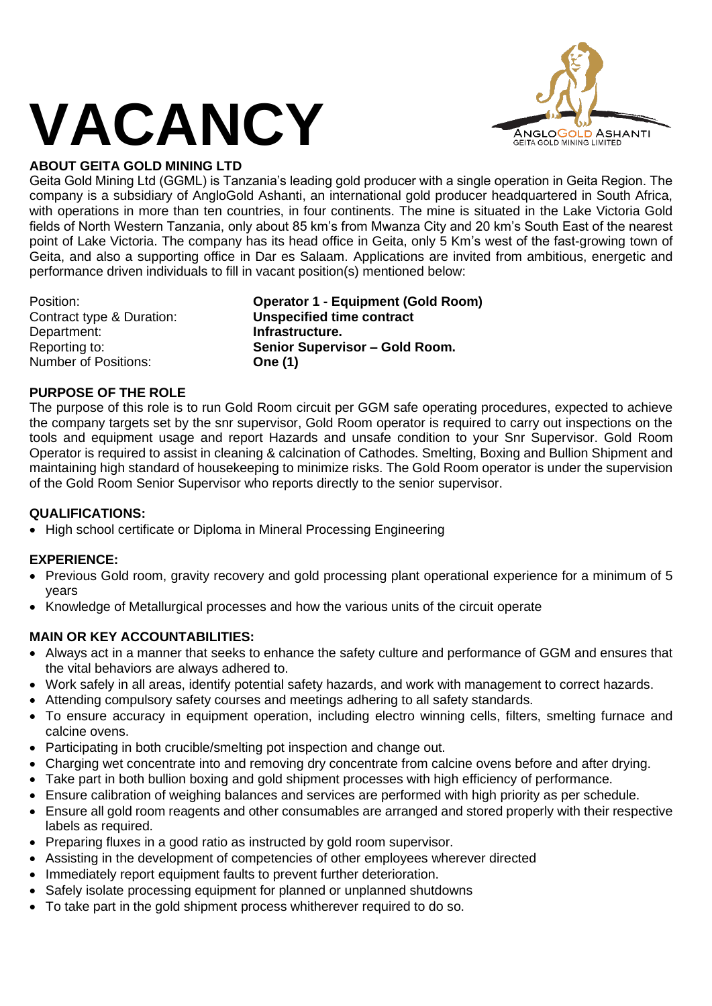

# **ABOUT GEITA GOLD MINING LTD**

Geita Gold Mining Ltd (GGML) is Tanzania's leading gold producer with a single operation in Geita Region. The company is a subsidiary of AngloGold Ashanti, an international gold producer headquartered in South Africa, with operations in more than ten countries, in four continents. The mine is situated in the Lake Victoria Gold fields of North Western Tanzania, only about 85 km's from Mwanza City and 20 km's South East of the nearest point of Lake Victoria. The company has its head office in Geita, only 5 Km's west of the fast-growing town of Geita, and also a supporting office in Dar es Salaam. Applications are invited from ambitious, energetic and performance driven individuals to fill in vacant position(s) mentioned below:

Department: **Infrastructure.** Number of Positions: **One (1)**

Position: **Operator 1 - Equipment (Gold Room)** Contract type & Duration: **Unspecified time contract** Reporting to: **Senior Supervisor – Gold Room.**

#### **PURPOSE OF THE ROLE**

The purpose of this role is to run Gold Room circuit per GGM safe operating procedures, expected to achieve the company targets set by the snr supervisor, Gold Room operator is required to carry out inspections on the tools and equipment usage and report Hazards and unsafe condition to your Snr Supervisor. Gold Room Operator is required to assist in cleaning & calcination of Cathodes. Smelting, Boxing and Bullion Shipment and maintaining high standard of housekeeping to minimize risks. The Gold Room operator is under the supervision of the Gold Room Senior Supervisor who reports directly to the senior supervisor.

## **QUALIFICATIONS:**

• High school certificate or Diploma in Mineral Processing Engineering

## **EXPERIENCE:**

- Previous Gold room, gravity recovery and gold processing plant operational experience for a minimum of 5 years
- Knowledge of Metallurgical processes and how the various units of the circuit operate

## **MAIN OR KEY ACCOUNTABILITIES:**

- Always act in a manner that seeks to enhance the safety culture and performance of GGM and ensures that the vital behaviors are always adhered to.
- Work safely in all areas, identify potential safety hazards, and work with management to correct hazards.
- Attending compulsory safety courses and meetings adhering to all safety standards.
- To ensure accuracy in equipment operation, including electro winning cells, filters, smelting furnace and calcine ovens.
- Participating in both crucible/smelting pot inspection and change out.
- Charging wet concentrate into and removing dry concentrate from calcine ovens before and after drying.
- Take part in both bullion boxing and gold shipment processes with high efficiency of performance.
- Ensure calibration of weighing balances and services are performed with high priority as per schedule.
- Ensure all gold room reagents and other consumables are arranged and stored properly with their respective labels as required.
- Preparing fluxes in a good ratio as instructed by gold room supervisor.
- Assisting in the development of competencies of other employees wherever directed
- Immediately report equipment faults to prevent further deterioration.
- Safely isolate processing equipment for planned or unplanned shutdowns
- To take part in the gold shipment process whitherever required to do so.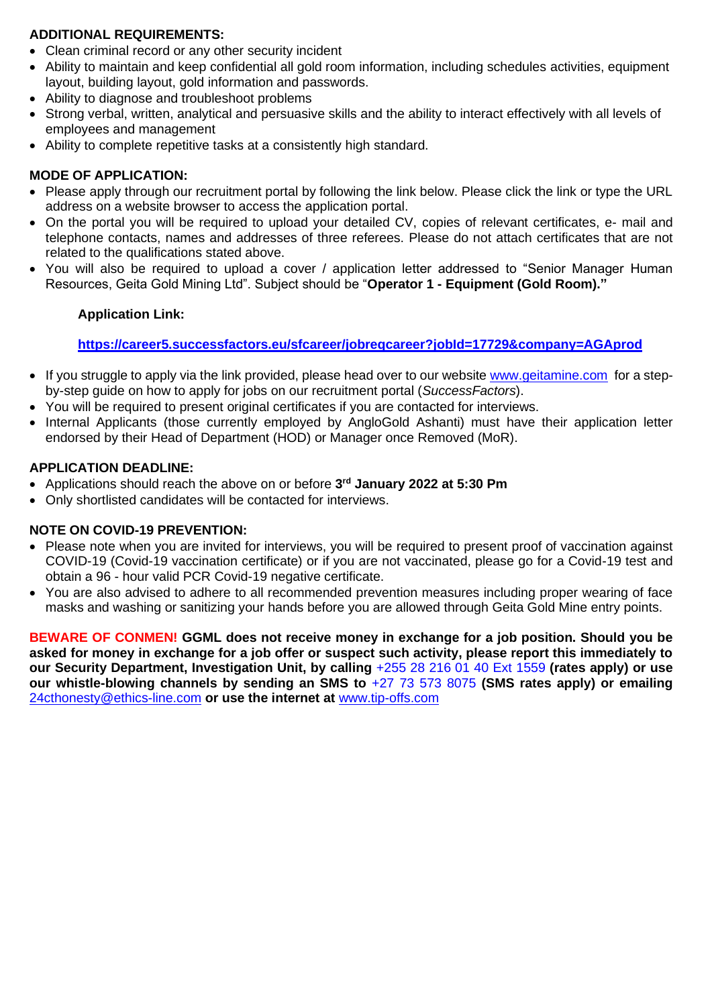### **ADDITIONAL REQUIREMENTS:**

- Clean criminal record or any other security incident
- Ability to maintain and keep confidential all gold room information, including schedules activities, equipment layout, building layout, gold information and passwords.
- Ability to diagnose and troubleshoot problems
- Strong verbal, written, analytical and persuasive skills and the ability to interact effectively with all levels of employees and management
- Ability to complete repetitive tasks at a consistently high standard.

## **MODE OF APPLICATION:**

- Please apply through our recruitment portal by following the link below. Please click the link or type the URL address on a website browser to access the application portal.
- On the portal you will be required to upload your detailed CV, copies of relevant certificates, e- mail and telephone contacts, names and addresses of three referees. Please do not attach certificates that are not related to the qualifications stated above.
- You will also be required to upload a cover / application letter addressed to "Senior Manager Human Resources, Geita Gold Mining Ltd". Subject should be "**Operator 1 - Equipment (Gold Room)."**

#### **Application Link:**

## **<https://career5.successfactors.eu/sfcareer/jobreqcareer?jobId=17729&company=AGAprod>**

- If you struggle to apply via the link provided, please head over to our website [www.geitamine.com](http://www.geitamine.com/) for a stepby-step guide on how to apply for jobs on our recruitment portal (*SuccessFactors*).
- You will be required to present original certificates if you are contacted for interviews.
- Internal Applicants (those currently employed by AngloGold Ashanti) must have their application letter endorsed by their Head of Department (HOD) or Manager once Removed (MoR).

#### **APPLICATION DEADLINE:**

- Applications should reach the above on or before **3 rd January 2022 at 5:30 Pm**
- Only shortlisted candidates will be contacted for interviews.

## **NOTE ON COVID-19 PREVENTION:**

- Please note when you are invited for interviews, you will be required to present proof of vaccination against COVID-19 (Covid-19 vaccination certificate) or if you are not vaccinated, please go for a Covid-19 test and obtain a 96 - hour valid PCR Covid-19 negative certificate.
- You are also advised to adhere to all recommended prevention measures including proper wearing of face masks and washing or sanitizing your hands before you are allowed through Geita Gold Mine entry points.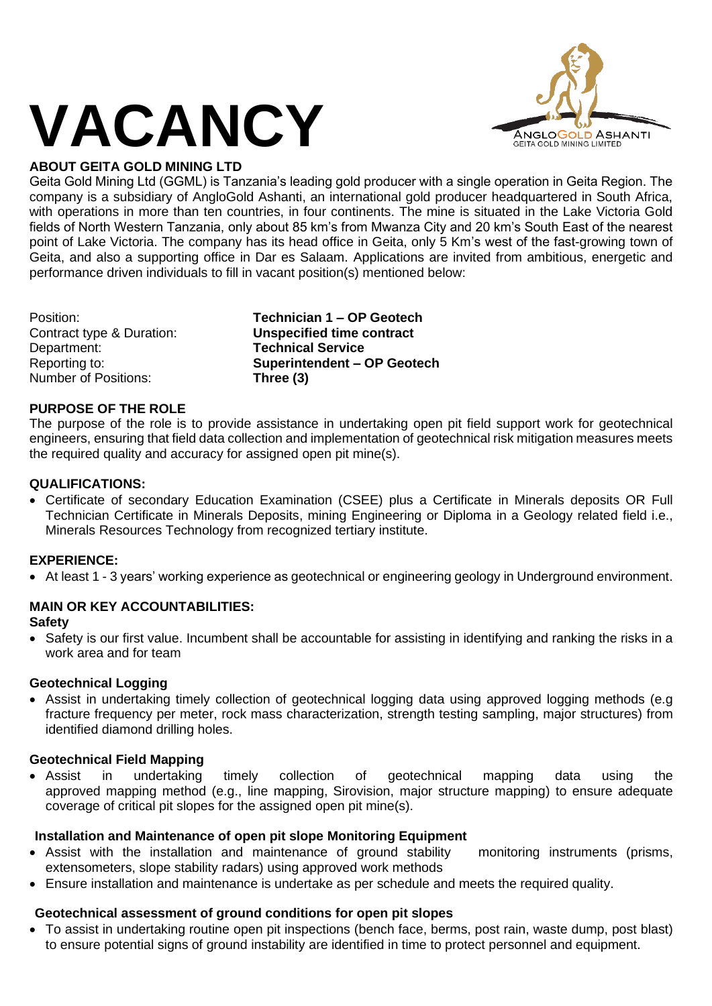

# **ABOUT GEITA GOLD MINING LTD**

Geita Gold Mining Ltd (GGML) is Tanzania's leading gold producer with a single operation in Geita Region. The company is a subsidiary of AngloGold Ashanti, an international gold producer headquartered in South Africa, with operations in more than ten countries, in four continents. The mine is situated in the Lake Victoria Gold fields of North Western Tanzania, only about 85 km's from Mwanza City and 20 km's South East of the nearest point of Lake Victoria. The company has its head office in Geita, only 5 Km's west of the fast-growing town of Geita, and also a supporting office in Dar es Salaam. Applications are invited from ambitious, energetic and performance driven individuals to fill in vacant position(s) mentioned below:

Department: **Technical Service** Number of Positions: **Three (3)**

Position: **Technician 1 – OP Geotech** Contract type & Duration: **Unspecified time contract** Reporting to: **Superintendent – OP Geotech**

## **PURPOSE OF THE ROLE**

The purpose of the role is to provide assistance in undertaking open pit field support work for geotechnical engineers, ensuring that field data collection and implementation of geotechnical risk mitigation measures meets the required quality and accuracy for assigned open pit mine(s).

#### **QUALIFICATIONS:**

• Certificate of secondary Education Examination (CSEE) plus a Certificate in Minerals deposits OR Full Technician Certificate in Minerals Deposits, mining Engineering or Diploma in a Geology related field i.e., Minerals Resources Technology from recognized tertiary institute.

#### **EXPERIENCE:**

• At least 1 - 3 years' working experience as geotechnical or engineering geology in Underground environment.

# **MAIN OR KEY ACCOUNTABILITIES:**

#### **Safety**

• Safety is our first value. Incumbent shall be accountable for assisting in identifying and ranking the risks in a work area and for team

#### **Geotechnical Logging**

• Assist in undertaking timely collection of geotechnical logging data using approved logging methods (e.g fracture frequency per meter, rock mass characterization, strength testing sampling, major structures) from identified diamond drilling holes.

#### **Geotechnical Field Mapping**

• Assist in undertaking timely collection of geotechnical mapping data using the approved mapping method (e.g., line mapping, Sirovision, major structure mapping) to ensure adequate coverage of critical pit slopes for the assigned open pit mine(s).

#### **Installation and Maintenance of open pit slope Monitoring Equipment**

- Assist with the installation and maintenance of ground stability monitoring instruments (prisms, extensometers, slope stability radars) using approved work methods
- Ensure installation and maintenance is undertake as per schedule and meets the required quality.

#### **Geotechnical assessment of ground conditions for open pit slopes**

• To assist in undertaking routine open pit inspections (bench face, berms, post rain, waste dump, post blast) to ensure potential signs of ground instability are identified in time to protect personnel and equipment.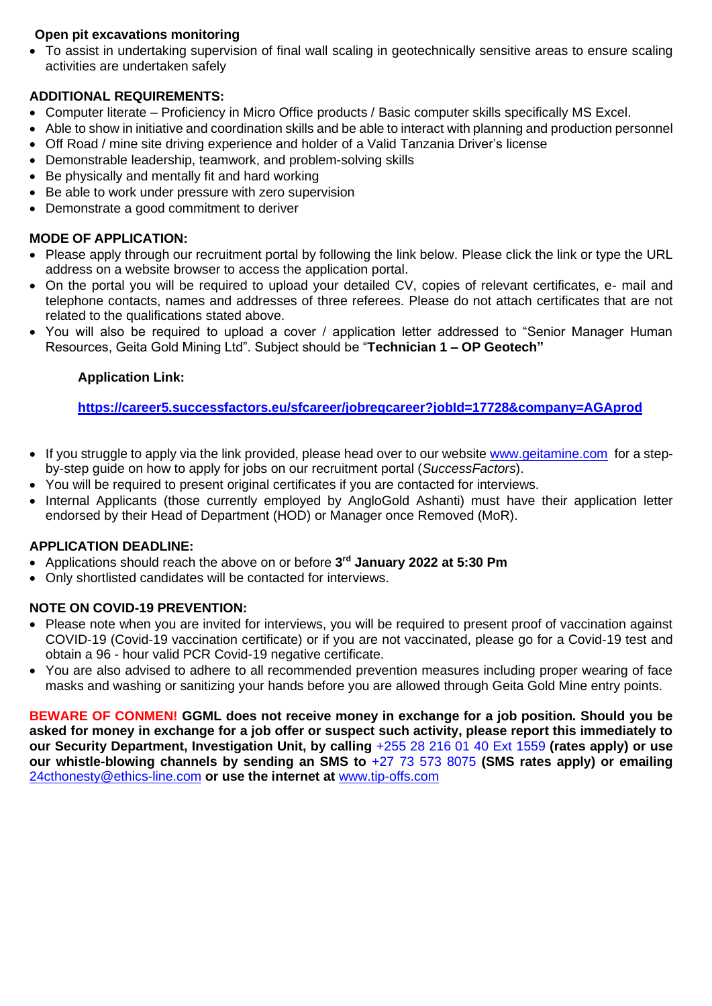## **Open pit excavations monitoring**

• To assist in undertaking supervision of final wall scaling in geotechnically sensitive areas to ensure scaling activities are undertaken safely

# **ADDITIONAL REQUIREMENTS:**

- Computer literate Proficiency in Micro Office products / Basic computer skills specifically MS Excel.
- Able to show in initiative and coordination skills and be able to interact with planning and production personnel
- Off Road / mine site driving experience and holder of a Valid Tanzania Driver's license
- Demonstrable leadership, teamwork, and problem-solving skills
- Be physically and mentally fit and hard working
- Be able to work under pressure with zero supervision
- Demonstrate a good commitment to deriver

## **MODE OF APPLICATION:**

- Please apply through our recruitment portal by following the link below. Please click the link or type the URL address on a website browser to access the application portal.
- On the portal you will be required to upload your detailed CV, copies of relevant certificates, e- mail and telephone contacts, names and addresses of three referees. Please do not attach certificates that are not related to the qualifications stated above.
- You will also be required to upload a cover / application letter addressed to "Senior Manager Human Resources, Geita Gold Mining Ltd". Subject should be "**Technician 1 – OP Geotech"**

## **Application Link:**

## **<https://career5.successfactors.eu/sfcareer/jobreqcareer?jobId=17728&company=AGAprod>**

- If you struggle to apply via the link provided, please head over to our website [www.geitamine.com](http://www.geitamine.com/) for a stepby-step guide on how to apply for jobs on our recruitment portal (*SuccessFactors*).
- You will be required to present original certificates if you are contacted for interviews.
- Internal Applicants (those currently employed by AngloGold Ashanti) must have their application letter endorsed by their Head of Department (HOD) or Manager once Removed (MoR).

## **APPLICATION DEADLINE:**

- Applications should reach the above on or before **3 rd January 2022 at 5:30 Pm**
- Only shortlisted candidates will be contacted for interviews.

## **NOTE ON COVID-19 PREVENTION:**

- Please note when you are invited for interviews, you will be required to present proof of vaccination against COVID-19 (Covid-19 vaccination certificate) or if you are not vaccinated, please go for a Covid-19 test and obtain a 96 - hour valid PCR Covid-19 negative certificate.
- You are also advised to adhere to all recommended prevention measures including proper wearing of face masks and washing or sanitizing your hands before you are allowed through Geita Gold Mine entry points.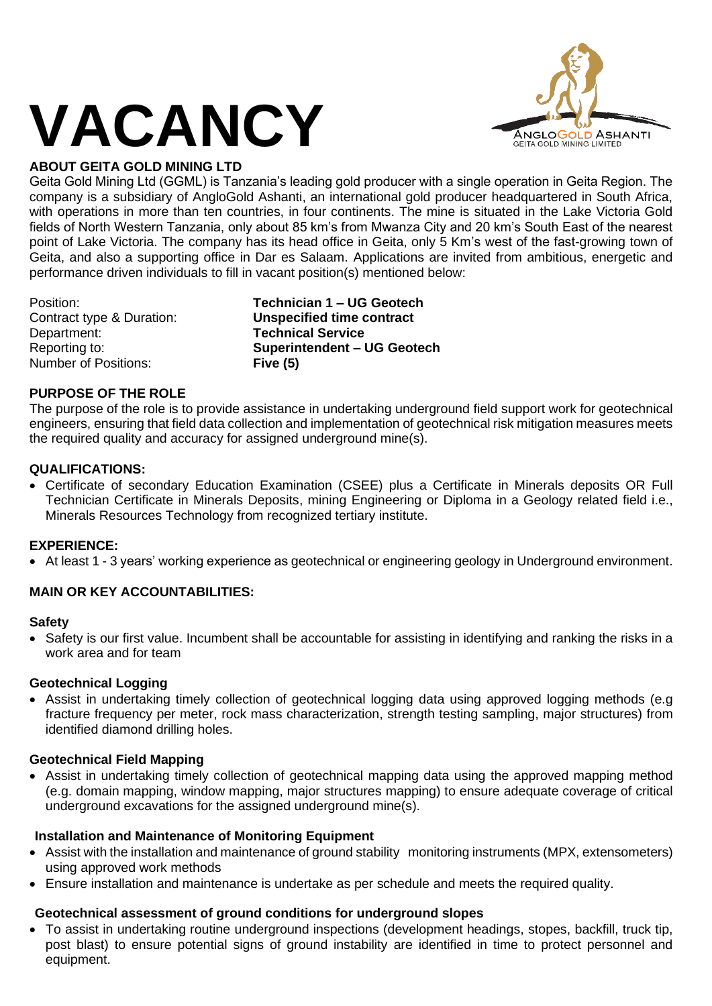

# **ABOUT GEITA GOLD MINING LTD**

Geita Gold Mining Ltd (GGML) is Tanzania's leading gold producer with a single operation in Geita Region. The company is a subsidiary of AngloGold Ashanti, an international gold producer headquartered in South Africa, with operations in more than ten countries, in four continents. The mine is situated in the Lake Victoria Gold fields of North Western Tanzania, only about 85 km's from Mwanza City and 20 km's South East of the nearest point of Lake Victoria. The company has its head office in Geita, only 5 Km's west of the fast-growing town of Geita, and also a supporting office in Dar es Salaam. Applications are invited from ambitious, energetic and performance driven individuals to fill in vacant position(s) mentioned below:

Department: **Technical Service** Number of Positions: **Five (5)**

Position: **Technician 1 – UG Geotech** Contract type & Duration: **Unspecified time contract** Reporting to: **Superintendent – UG Geotech**

#### **PURPOSE OF THE ROLE**

The purpose of the role is to provide assistance in undertaking underground field support work for geotechnical engineers, ensuring that field data collection and implementation of geotechnical risk mitigation measures meets the required quality and accuracy for assigned underground mine(s).

#### **QUALIFICATIONS:**

• Certificate of secondary Education Examination (CSEE) plus a Certificate in Minerals deposits OR Full Technician Certificate in Minerals Deposits, mining Engineering or Diploma in a Geology related field i.e., Minerals Resources Technology from recognized tertiary institute.

#### **EXPERIENCE:**

• At least 1 - 3 years' working experience as geotechnical or engineering geology in Underground environment.

#### **MAIN OR KEY ACCOUNTABILITIES:**

#### **Safety**

• Safety is our first value. Incumbent shall be accountable for assisting in identifying and ranking the risks in a work area and for team

#### **Geotechnical Logging**

• Assist in undertaking timely collection of geotechnical logging data using approved logging methods (e.g fracture frequency per meter, rock mass characterization, strength testing sampling, major structures) from identified diamond drilling holes.

#### **Geotechnical Field Mapping**

• Assist in undertaking timely collection of geotechnical mapping data using the approved mapping method (e.g. domain mapping, window mapping, major structures mapping) to ensure adequate coverage of critical underground excavations for the assigned underground mine(s).

#### **Installation and Maintenance of Monitoring Equipment**

- Assist with the installation and maintenance of ground stability monitoring instruments (MPX, extensometers) using approved work methods
- Ensure installation and maintenance is undertake as per schedule and meets the required quality.

#### **Geotechnical assessment of ground conditions for underground slopes**

• To assist in undertaking routine underground inspections (development headings, stopes, backfill, truck tip, post blast) to ensure potential signs of ground instability are identified in time to protect personnel and equipment.